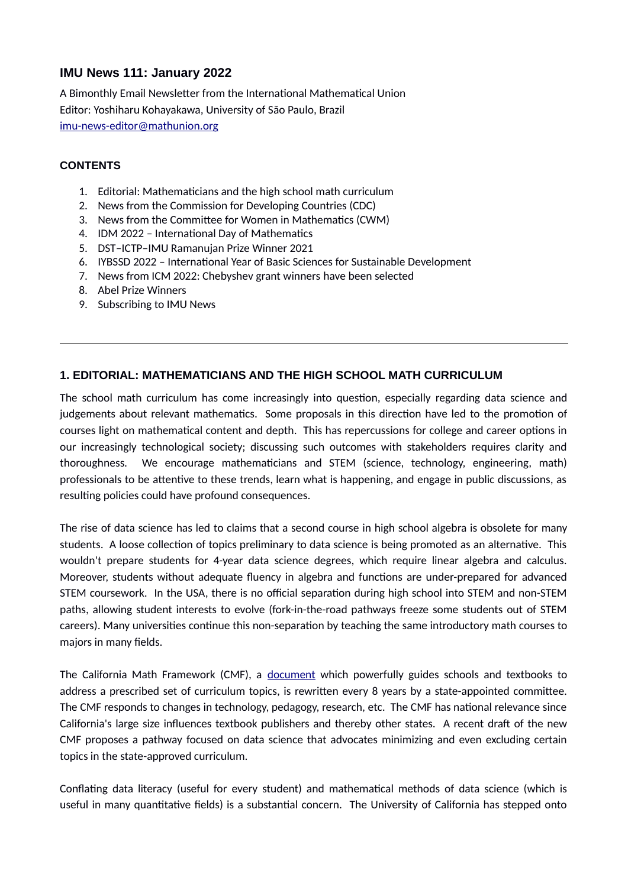# **IMU News 111: January 2022**

A Bimonthly Email Newsletter from the International Mathematical Union Editor: Yoshiharu Kohayakawa, University of São Paulo, Brazil [imu-news-editor@mathunion.org](mailto:imu-news-editor@mathunion.org)

#### **CONTENTS**

- 1. Editorial: Mathematicians and the high school math curriculum
- 2. News from the Commission for Developing Countries (CDC)
- 3. News from the Committee for Women in Mathematics (CWM)
- 4. IDM 2022 International Day of Mathematics
- 5. DST–ICTP–IMU Ramanujan Prize Winner 2021
- 6. IYBSSD 2022 International Year of Basic Sciences for Sustainable Development
- 7. News from ICM 2022: Chebyshev grant winners have been selected
- 8. Abel Prize Winners
- 9. Subscribing to IMU News

### **1. EDITORIAL: MATHEMATICIANS AND THE HIGH SCHOOL MATH CURRICULUM**

The school math curriculum has come increasingly into question, especially regarding data science and judgements about relevant mathematics. Some proposals in this direction have led to the promotion of courses light on mathematical content and depth. This has repercussions for college and career options in our increasingly technological society; discussing such outcomes with stakeholders requires clarity and thoroughness. We encourage mathematicians and STEM (science, technology, engineering, math) professionals to be attentive to these trends, learn what is happening, and engage in public discussions, as resulting policies could have profound consequences.

The rise of data science has led to claims that a second course in high school algebra is obsolete for many students. A loose collection of topics preliminary to data science is being promoted as an alternative. This wouldn't prepare students for 4-year data science degrees, which require linear algebra and calculus. Moreover, students without adequate fluency in algebra and functions are under-prepared for advanced STEM coursework. In the USA, there is no official separation during high school into STEM and non-STEM paths, allowing student interests to evolve (fork-in-the-road pathways freeze some students out of STEM careers). Many universities continue this non-separation by teaching the same introductory math courses to majors in many fields.

The California Math Framework (CMF), a [document](https://www.cde.ca.gov/ci/ma/cf/) which powerfully guides schools and textbooks to address a prescribed set of curriculum topics, is rewritten every 8 years by a state-appointed committee. The CMF responds to changes in technology, pedagogy, research, etc. The CMF has national relevance since California's large size influences textbook publishers and thereby other states. A recent draft of the new CMF proposes a pathway focused on data science that advocates minimizing and even excluding certain topics in the state-approved curriculum.

Conflating data literacy (useful for every student) and mathematical methods of data science (which is useful in many quantitative fields) is a substantial concern. The University of California has stepped onto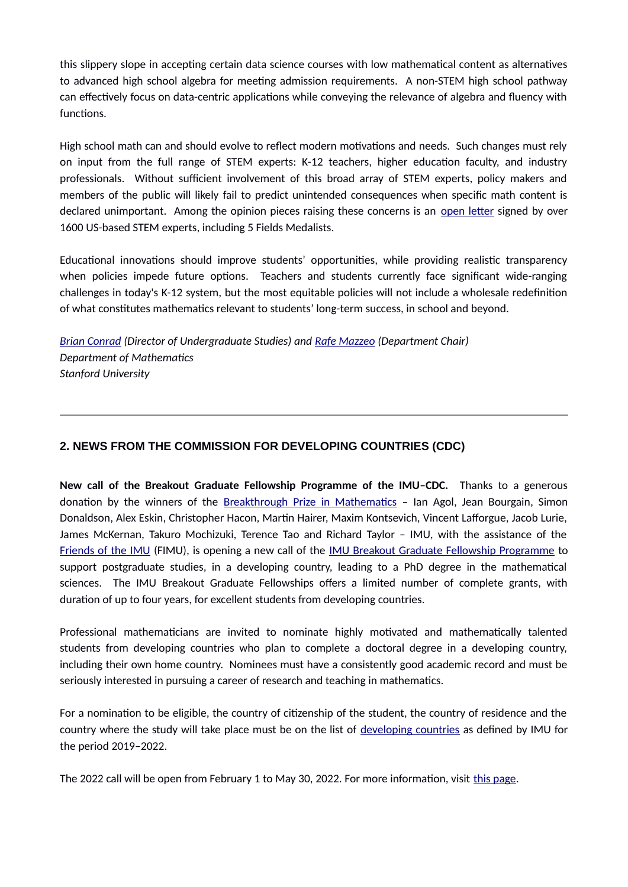this slippery slope in accepting certain data science courses with low mathematical content as alternatives to advanced high school algebra for meeting admission requirements. A non-STEM high school pathway can effectively focus on data-centric applications while conveying the relevance of algebra and fluency with functions.

High school math can and should evolve to reflect modern motivations and needs. Such changes must rely on input from the full range of STEM experts: K-12 teachers, higher education faculty, and industry professionals. Without sufficient involvement of this broad array of STEM experts, policy makers and members of the public will likely fail to predict unintended consequences when specific math content is declared unimportant. Among the opinion pieces raising these concerns is an [open letter](https://sites.google.com/view/k12mathmatters/home) signed by over 1600 US-based STEM experts, including 5 Fields Medalists.

Educational innovations should improve students' opportunities, while providing realistic transparency when policies impede future options. Teachers and students currently face significant wide-ranging challenges in today's K-12 system, but the most equitable policies will not include a wholesale redefinition of what constitutes mathematics relevant to students' long-term success, in school and beyond.

*[Brian Conrad](https://mathematics.stanford.edu/people/brian-conrad) (Director of Undergraduate Studies) and [Rafe Mazzeo](https://mathematics.stanford.edu/people/rafe-mazzeo) (Department Chair) Department of Mathematics Stanford University*

# **2. NEWS FROM THE COMMISSION FOR DEVELOPING COUNTRIES (CDC)**

**New call of the Breakout Graduate Fellowship Programme of the IMU–CDC.** Thanks to a generous donation by the winners of the [Breakthrough Prize in Mathematics](https://breakthroughprize.org/Prize/3) – Ian Agol, Jean Bourgain, Simon Donaldson, Alex Eskin, Christopher Hacon, Martin Hairer, Maxim Kontsevich, Vincent Lafforgue, Jacob Lurie, James McKernan, Takuro Mochizuki, Terence Tao and Richard Taylor – IMU, with the assistance of the [Friends of the IMU](https://friends-imu.org/) (FIMU), is opening a new call of the [IMU Breakout Graduate Fellowship Programme](https://www.mathunion.org/cdc/scholarships/graduate-scholarships/imu-breakout-graduate-fellowship-program) to support postgraduate studies, in a developing country, leading to a PhD degree in the mathematical sciences. The IMU Breakout Graduate Fellowships offers a limited number of complete grants, with duration of up to four years, for excellent students from developing countries.

Professional mathematicians are invited to nominate highly motivated and mathematically talented students from developing countries who plan to complete a doctoral degree in a developing country, including their own home country. Nominees must have a consistently good academic record and must be seriously interested in pursuing a career of research and teaching in mathematics.

For a nomination to be eligible, the country of citizenship of the student, the country of residence and the country where the study will take place must be on the list of [developing countries](https://www.mathunion.org/cdc/about-cdc/definition-developing-countries) as defined by IMU for the period 2019–2022.

The 2022 call will be open from February 1 to May 30, 2022. For more information, visit [this page](https://www.mathunion.org/cdc/scholarshipsgraduate-scholarships/imu-breakout-graduate-fellowship-program).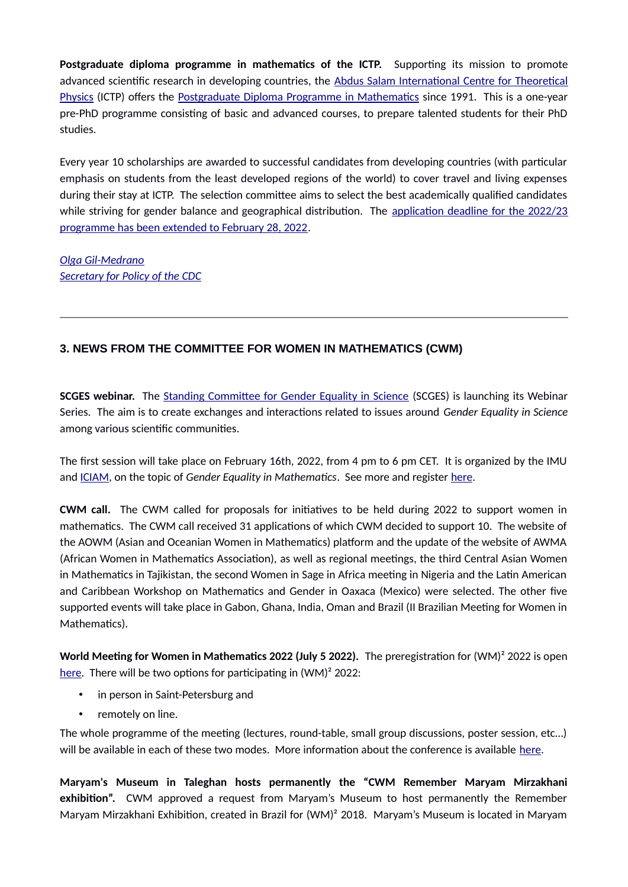**Postgraduate diploma programme in mathematics of the ICTP.** Supporting its mission to promote advanced scientific research in developing countries, the [Abdus Salam International Centre for Theoretical](https://www.ictp.it/about-ictp.aspx) [Physics](https://www.ictp.it/about-ictp.aspx) (ICTP) offers the [Postgraduate Diploma Programme in Mathematics](https://diploma.ictp.it/) since 1991. This is a one-year pre-PhD programme consisting of basic and advanced courses, to prepare talented students for their PhD studies.

Every year 10 scholarships are awarded to successful candidates from developing countries (with particular emphasis on students from the least developed regions of the world) to cover travel and living expenses during their stay at ICTP. The selection committee aims to select the best academically qualified candidates while striving for gender balance and geographical distribution. The [application deadline for the 2022/23](https://www.ictp.it/about-ictp/media-centre/news/2021/11/diploma-call-2022.aspx) [programme has been extended to February 28, 2022.](https://www.ictp.it/about-ictp/media-centre/news/2021/11/diploma-call-2022.aspx)

*[Olga Gil-Medrano](https://www.uv.es/~gilo/Pagina_web2/Inicio.html) [Secretary for Policy of the CDC](https://www.mathunion.org/cdc/about-cdc/members)*

# **3. NEWS FROM THE COMMITTEE FOR WOMEN IN MATHEMATICS (CWM)**

**SCGES webinar.** The [Standing Committee for Gender Equality in Science](https://gender-equality-in-science.org/) (SCGES) is launching its Webinar Series. The aim is to create exchanges and interactions related to issues around *Gender Equality in Science* among various scientific communities.

The first session will take place on February 16th, 2022, from 4 pm to 6 pm CET. It is organized by the IMU and [ICIAM](https://iciam.org/), on the topic of *Gender Equality in Mathematics*. See more and register [here](https://gender-equality-in-science.org/event/scges-webinar-february-16th-2022/).

**CWM call.** The CWM called for proposals for initiatives to be held during 2022 to support women in mathematics. The CWM call received 31 applications of which CWM decided to support 10. The website of the AOWM (Asian and Oceanian Women in Mathematics) platform and the update of the website of AWMA (African Women in Mathematics Association), as well as regional meetings, the third Central Asian Women in Mathematics in Tajikistan, the second Women in Sage in Africa meeting in Nigeria and the Latin American and Caribbean Workshop on Mathematics and Gender in Oaxaca (Mexico) were selected. The other five supported events will take place in Gabon, Ghana, India, Oman and Brazil (II Brazilian Meeting for Women in Mathematics).

**World Meeting for Women in Mathematics 2022 (July 5 2022).** The preregistration for (WM)² 2022 is open [here](https://2022.worldwomeninmaths.org/node/15). There will be two options for participating in (WM)<sup>2</sup> 2022:

- in person in Saint-Petersburg and
- remotely on line.

The whole programme of the meeting (lectures, round-table, small group discussions, poster session, etc…) will be available in each of these two modes. More information about the conference is available [here](https://2022.worldwomeninmaths.org/).

**Maryam's Museum in Taleghan hosts permanently the "CWM Remember Maryam Mirzakhani exhibition".** CWM approved a request from Maryam's Museum to host permanently the Remember Maryam Mirzakhani Exhibition, created in Brazil for (WM)² 2018. Maryam's Museum is located in Maryam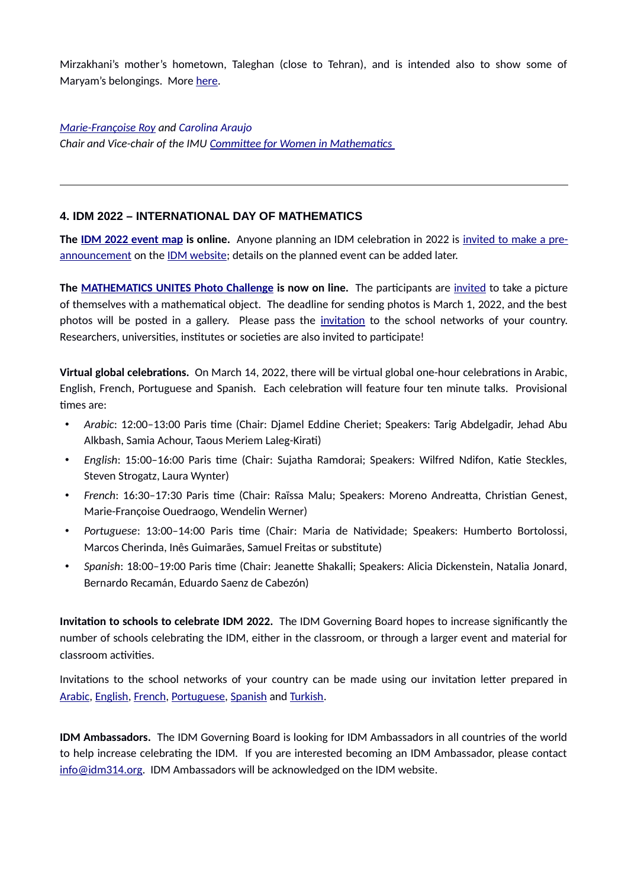Mirzakhani's mother's hometown, Taleghan (close to Tehran), and is intended also to show some of Maryam's belongings. More [here](https://www.mathunion.org/cwm/cwm-initiatives/remember-maryam-mirzakhani).

*[Marie-Françoise Roy](https://irmar.univ-rennes1.fr/en/interlocutors/marie-francoise-roy) and Carolina Araujo Chair and Vice-chair of the IMU [Committee for Women in Mathematics](https://mathunion.org/cwm/)* 

### **4. IDM 2022 – INTERNATIONAL DAY OF MATHEMATICS**

**The [IDM 2022 event map](https://www.idm314.org/index.html#event-map) is online.** Anyone planning an IDM celebration in 2022 is [invited to make a pre](https://form.jotform.com/imaginaryorg/2022-idm-event-submission-form)[announcement](https://form.jotform.com/imaginaryorg/2022-idm-event-submission-form) on the [IDM website](https://www.idm314.org/); details on the planned event can be added later.

**The [MATHEMATICS UNITES Photo Challenge](https://www.idm314.org/2022-photo-challenge.html) is now on line.** The participants are [invited](https://form.jotform.com/imaginaryorg/idm-2022-photo-challenge) to take a picture of themselves with a mathematical object. The deadline for sending photos is March 1, 2022, and the best photos will be posted in a gallery. Please pass the [invitation](https://form.jotform.com/imaginaryorg/idm-2022-photo-challenge) to the school networks of your country. Researchers, universities, institutes or societies are also invited to participate!

**Virtual global celebrations.** On March 14, 2022, there will be virtual global one-hour celebrations in Arabic, English, French, Portuguese and Spanish. Each celebration will feature four ten minute talks. Provisional times are:

- *Arabic*: 12:00–13:00 Paris time (Chair: Djamel Eddine Cheriet; Speakers: Tarig Abdelgadir, Jehad Abu Alkbash, Samia Achour, Taous Meriem Laleg-Kirati)
- *English*: 15:00–16:00 Paris time (Chair: Sujatha Ramdorai; Speakers: Wilfred Ndifon, Katie Steckles, Steven Strogatz, Laura Wynter)
- *French*: 16:30–17:30 Paris time (Chair: Raïssa Malu; Speakers: Moreno Andreatta, Christian Genest, Marie-Françoise Ouedraogo, Wendelin Werner)
- *Portuguese*: 13:00–14:00 Paris time (Chair: Maria de Natividade; Speakers: Humberto Bortolossi, Marcos Cherinda, Inês Guimarães, Samuel Freitas or substitute)
- *Spanish*: 18:00–19:00 Paris time (Chair: Jeanette Shakalli; Speakers: Alicia Dickenstein, Natalia Jonard, Bernardo Recamán, Eduardo Saenz de Cabezón)

**Invitation to schools to celebrate IDM 2022.** The IDM Governing Board hopes to increase significantly the number of schools celebrating the IDM, either in the classroom, or through a larger event and material for classroom activities.

Invitations to the school networks of your country can be made using our invitation letter prepared in [Arabic](https://www.idm314.org/resources/2022/idm-2022-school-invitation-ar.pdf), [English,](https://www.idm314.org/resources/2022/idm-2022-school-invitation-en.pdf) [French](https://www.idm314.org/resources/2022/idm-2022-school-invitation-fr.pdf), [Portuguese](https://www.idm314.org/resources/2022/idm-2022-school-invitation-pt.pdf), [Spanish](https://www.idm314.org/resources/2022/idm-2022-school-invitation-es.pdf) and [Turkish.](https://www.idm314.org/resources/2022/idm-2022-school-invitation-tr.pdf)

**IDM Ambassadors.** The IDM Governing Board is looking for IDM Ambassadors in all countries of the world to help increase celebrating the IDM. If you are interested becoming an IDM Ambassador, please contact [info@idm314.org](mailto:info@idm314.org). IDM Ambassadors will be acknowledged on the IDM website.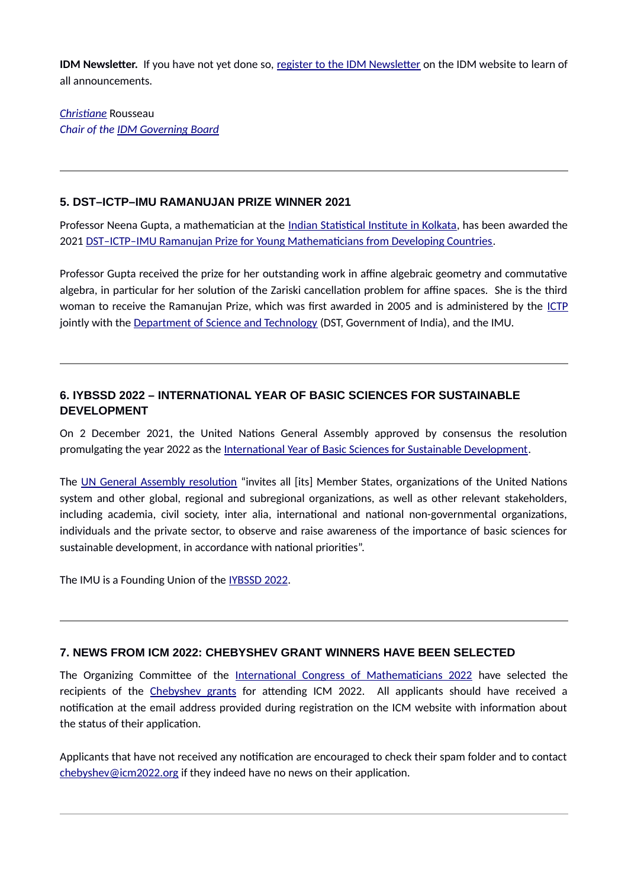**IDM Newsletter.** If you have not yet done so, [register to the IDM Newsletter](https://gmail.us20.list-manage.com/subscribe?u=60a750d472d327e9f38325f16&id=773d66c5d9) on the IDM website to learn of all announcements.

*Christiane* Rousseau *Chair of the [IDM Governing Board](https://www.mathunion.org/outreach/IDM)*

#### **5. DST–ICTP–IMU RAMANUJAN PRIZE WINNER 2021**

Professor Neena Gupta, a mathematician at the [Indian Statistical Institute in Kolkata](https://www.isical.ac.in/), has been awarded the 2021 [DST–ICTP–IMU Ramanujan Prize for Young Mathematicians from Developing Countries](https://www.ictp.it/about-ictp/prizes-awards/the-dst-ictp-imu-ramanujan-prize.aspx).

Professor Gupta received the prize for her outstanding work in affine algebraic geometry and commutative algebra, in particular for her solution of the Zariski cancellation problem for affine spaces. She is the third woman to receive the Ramanujan Prize, which was first awarded in 2005 and is administered by the [ICTP](https://www.ictp.it/) jointly with the [Department of Science and Technology](https://dst.gov.in/) (DST, Government of India), and the IMU.

## **6. IYBSSD 2022 – INTERNATIONAL YEAR OF BASIC SCIENCES FOR SUSTAINABLE DEVELOPMENT**

On 2 December 2021, the United Nations General Assembly approved by consensus the resolution promulgating the year 2022 as the [International Year of Basic Sciences for Sustainable Development.](https://www.iybssd2022.org/en/home/)

The [UN General Assembly resolution](https://www.iybssd2022.org/wp-content/uploads/A_76_L.12-EN.pdf) "invites all [its] Member States, organizations of the United Nations system and other global, regional and subregional organizations, as well as other relevant stakeholders, including academia, civil society, inter alia, international and national non-governmental organizations, individuals and the private sector, to observe and raise awareness of the importance of basic sciences for sustainable development, in accordance with national priorities".

The IMU is a Founding Union of the [IYBSSD 2022](https://www.iybssd2022.org/en/home/).

### **7. NEWS FROM ICM 2022: CHEBYSHEV GRANT WINNERS HAVE BEEN SELECTED**

The Organizing Committee of the [International Congress of Mathematicians 2022](https://icm2022.org/) have selected the recipients of the [Chebyshev grants](https://icm2022.org/grants) for attending ICM 2022. All applicants should have received a notification at the email address provided during registration on the ICM website with information about the status of their application.

Applicants that have not received any notification are encouraged to check their spam folder and to contact [chebyshev@icm2022.org](mailto:chebyshev@icm2022.org?subject=Status%20of%20grant%20application) if they indeed have no news on their application.